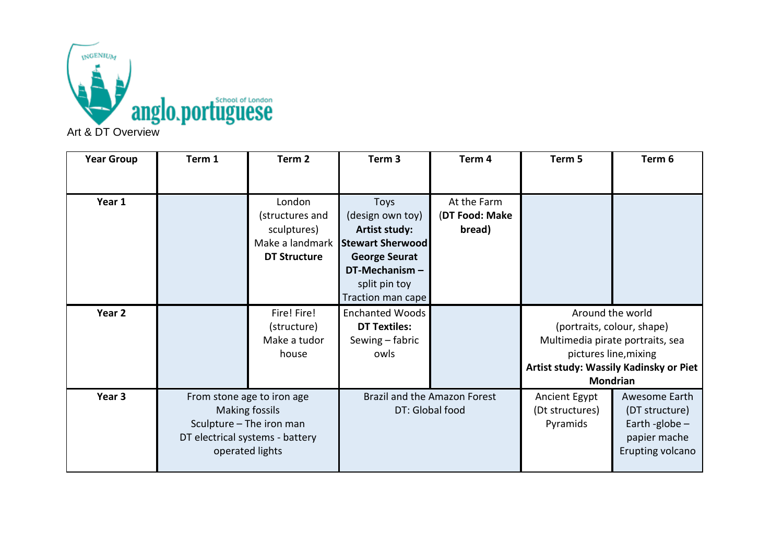

| <b>Year Group</b> | Term 1                                              | Term <sub>2</sub>   | Term <sub>3</sub>                               | Term 4         | Term 5                           | Term 6                                 |
|-------------------|-----------------------------------------------------|---------------------|-------------------------------------------------|----------------|----------------------------------|----------------------------------------|
|                   |                                                     |                     |                                                 |                |                                  |                                        |
| Year 1            |                                                     | London              | <b>Toys</b>                                     | At the Farm    |                                  |                                        |
|                   |                                                     | (structures and     | (design own toy)                                | (DT Food: Make |                                  |                                        |
|                   |                                                     | sculptures)         | Artist study:                                   | bread)         |                                  |                                        |
|                   |                                                     |                     | Make a landmark Stewart Sherwood                |                |                                  |                                        |
|                   |                                                     | <b>DT Structure</b> | <b>George Seurat</b>                            |                |                                  |                                        |
|                   |                                                     |                     | DT-Mechanism-                                   |                |                                  |                                        |
|                   |                                                     |                     | split pin toy                                   |                |                                  |                                        |
|                   |                                                     |                     | Traction man cape                               |                |                                  |                                        |
| Year 2            |                                                     | Fire! Fire!         | <b>Enchanted Woods</b>                          |                | Around the world                 |                                        |
|                   |                                                     | (structure)         | <b>DT Textiles:</b>                             |                | (portraits, colour, shape)       |                                        |
|                   |                                                     | Make a tudor        | Sewing - fabric                                 |                | Multimedia pirate portraits, sea |                                        |
|                   |                                                     | house               | owls                                            |                | pictures line, mixing            |                                        |
|                   |                                                     |                     |                                                 |                |                                  | Artist study: Wassily Kadinsky or Piet |
|                   |                                                     |                     |                                                 |                | <b>Mondrian</b>                  |                                        |
| Year 3            | From stone age to iron age<br><b>Making fossils</b> |                     | Brazil and the Amazon Forest<br>DT: Global food |                | Ancient Egypt                    | Awesome Earth                          |
|                   |                                                     |                     |                                                 |                | (Dt structures)                  | (DT structure)                         |
|                   | Sculpture - The iron man                            |                     |                                                 |                | Pyramids                         | Earth -globe $-$                       |
|                   | DT electrical systems - battery                     |                     |                                                 |                |                                  | papier mache                           |
|                   | operated lights                                     |                     |                                                 |                |                                  | Erupting volcano                       |
|                   |                                                     |                     |                                                 |                |                                  |                                        |